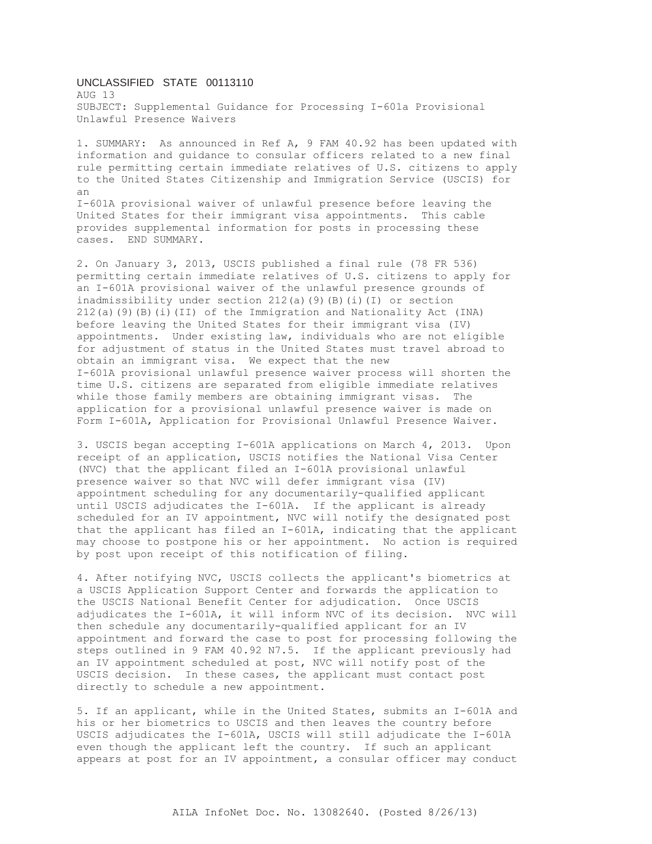## UNCLASSIFIED STATE 00113110

AUG 13 SUBJECT: Supplemental Guidance for Processing I-601a Provisional Unlawful Presence Waivers

1. SUMMARY: As announced in Ref A, 9 FAM 40.92 has been updated with information and guidance to consular officers related to a new final rule permitting certain immediate relatives of U.S. citizens to apply to the United States Citizenship and Immigration Service (USCIS) for an I-601A provisional waiver of unlawful presence before leaving the United States for their immigrant visa appointments. This cable

provides supplemental information for posts in processing these cases. END SUMMARY. 2. On January 3, 2013, USCIS published a final rule (78 FR 536) permitting certain immediate relatives of U.S. citizens to apply for an I-601A provisional waiver of the unlawful presence grounds of

inadmissibility under section 212(a)(9)(B)(i)(I) or section 212(a)(9)(B)(i)(II) of the Immigration and Nationality Act (INA) before leaving the United States for their immigrant visa (IV) appointments. Under existing law, individuals who are not eligible for adjustment of status in the United States must travel abroad to obtain an immigrant visa. We expect that the new I-601A provisional unlawful presence waiver process will shorten the time U.S. citizens are separated from eligible immediate relatives while those family members are obtaining immigrant visas. The application for a provisional unlawful presence waiver is made on Form I-601A, Application for Provisional Unlawful Presence Waiver.

3. USCIS began accepting I-601A applications on March 4, 2013. Upon receipt of an application, USCIS notifies the National Visa Center (NVC) that the applicant filed an I-601A provisional unlawful presence waiver so that NVC will defer immigrant visa (IV) appointment scheduling for any documentarily-qualified applicant until USCIS adjudicates the I-601A. If the applicant is already scheduled for an IV appointment, NVC will notify the designated post that the applicant has filed an I-601A, indicating that the applicant may choose to postpone his or her appointment. No action is required by post upon receipt of this notification of filing.

4. After notifying NVC, USCIS collects the applicant's biometrics at a USCIS Application Support Center and forwards the application to the USCIS National Benefit Center for adjudication. Once USCIS adjudicates the I-601A, it will inform NVC of its decision. NVC will then schedule any documentarily-qualified applicant for an IV appointment and forward the case to post for processing following the steps outlined in 9 FAM 40.92 N7.5. If the applicant previously had an IV appointment scheduled at post, NVC will notify post of the USCIS decision. In these cases, the applicant must contact post directly to schedule a new appointment.

5. If an applicant, while in the United States, submits an I-601A and his or her biometrics to USCIS and then leaves the country before USCIS adjudicates the I-601A, USCIS will still adjudicate the I-601A even though the applicant left the country. If such an applicant appears at post for an IV appointment, a consular officer may conduct